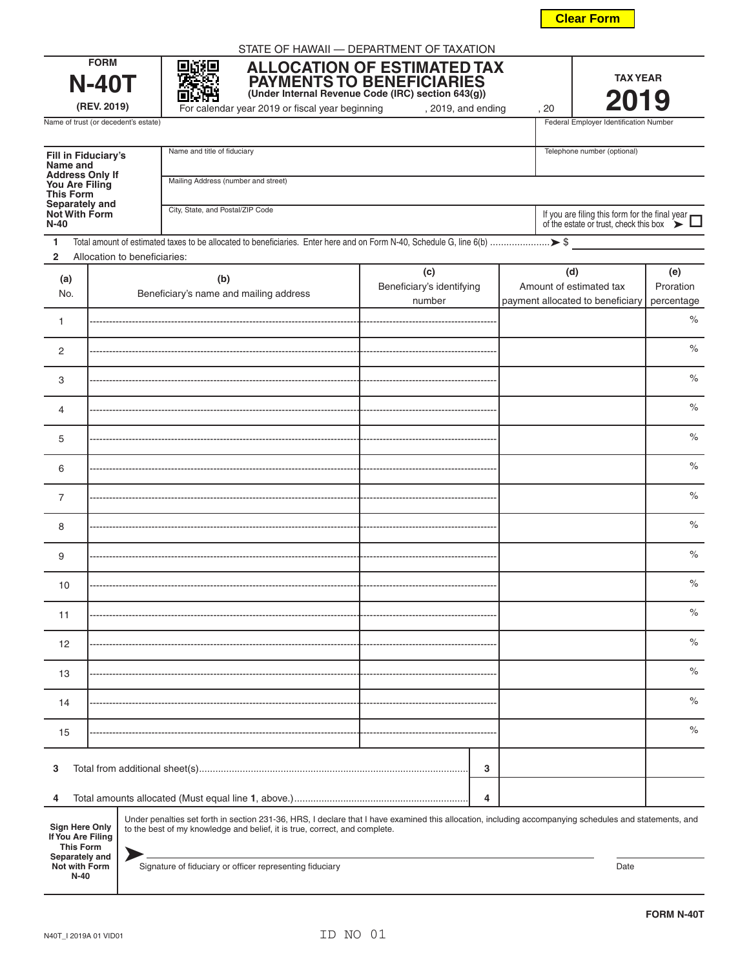**Not with Form N-40**

Signature of fiduciary or officer representing fiduciary

|                                                         |      | $\%$       |  |  |
|---------------------------------------------------------|------|------------|--|--|
|                                                         |      | $\%$       |  |  |
|                                                         |      | $\%$       |  |  |
| 3                                                       |      |            |  |  |
| 4                                                       |      |            |  |  |
| i, including accompanying schedules and statements, and |      |            |  |  |
|                                                         | Date |            |  |  |
|                                                         |      | FORM N-40T |  |  |
|                                                         |      |            |  |  |

| This Form<br>Separately and<br>Not With Form<br>N-40                             |                              | City, State, and Postal/ZIP Code                                                                                                                                                                                                     |                                            | If you are filing this form for the final year of the estate or trust, check this box $\sum$ |                                |
|----------------------------------------------------------------------------------|------------------------------|--------------------------------------------------------------------------------------------------------------------------------------------------------------------------------------------------------------------------------------|--------------------------------------------|----------------------------------------------------------------------------------------------|--------------------------------|
| 1<br>$\overline{2}$                                                              | Allocation to beneficiaries: |                                                                                                                                                                                                                                      |                                            |                                                                                              |                                |
| (a)<br>No.                                                                       |                              | (b)<br>Beneficiary's name and mailing address                                                                                                                                                                                        | (c)<br>Beneficiary's identifying<br>number | (d)<br>Amount of estimated tax<br>payment allocated to beneficiary                           | (e)<br>Proration<br>percentage |
| 1                                                                                |                              |                                                                                                                                                                                                                                      |                                            |                                                                                              | $\%$                           |
| $\overline{c}$                                                                   |                              |                                                                                                                                                                                                                                      |                                            |                                                                                              | $\%$                           |
| 3                                                                                |                              |                                                                                                                                                                                                                                      |                                            |                                                                                              | $\%$                           |
| $\overline{4}$                                                                   |                              |                                                                                                                                                                                                                                      |                                            |                                                                                              | $\%$                           |
| 5                                                                                |                              |                                                                                                                                                                                                                                      |                                            |                                                                                              | $\%$                           |
| 6                                                                                |                              |                                                                                                                                                                                                                                      |                                            |                                                                                              | $\%$                           |
| $\overline{7}$                                                                   |                              |                                                                                                                                                                                                                                      |                                            |                                                                                              | $\%$                           |
| 8                                                                                |                              |                                                                                                                                                                                                                                      |                                            |                                                                                              | $\%$                           |
| 9                                                                                |                              |                                                                                                                                                                                                                                      |                                            |                                                                                              | $\%$                           |
| 10                                                                               |                              |                                                                                                                                                                                                                                      |                                            |                                                                                              | $\%$                           |
| 11                                                                               |                              |                                                                                                                                                                                                                                      |                                            |                                                                                              | $\%$                           |
| 12                                                                               |                              |                                                                                                                                                                                                                                      |                                            |                                                                                              | $\%$                           |
| 13                                                                               |                              |                                                                                                                                                                                                                                      |                                            |                                                                                              | $\%$                           |
| 14                                                                               |                              |                                                                                                                                                                                                                                      |                                            |                                                                                              | $\%$                           |
| 15                                                                               |                              |                                                                                                                                                                                                                                      |                                            |                                                                                              | $\%$                           |
| 3                                                                                |                              |                                                                                                                                                                                                                                      | 3                                          |                                                                                              |                                |
| 4                                                                                |                              |                                                                                                                                                                                                                                      | 4                                          |                                                                                              |                                |
| <b>Sign Here Only</b><br>If You Are Filing<br><b>This Form</b><br>Separately and |                              | Under penalties set forth in section 231-36, HRS, I declare that I have examined this allocation, including accompanying schedules and statements, and<br>to the best of my knowledge and belief, it is true, correct, and complete. |                                            |                                                                                              |                                |

STATE OF HAWAII — DEPARTMENT OF TAXATION

**FORM N-40T (REV. 2019)**

圞 厦 部箱

**Fill in Fiduciary's Name and Address Only If You Are Filing**

| 21AI L VI TIAMAII — DLI ANTIMENT VI TAAATIVIN      |
|----------------------------------------------------|
| <b>ALLOCATION OF ESTIMATED TAX</b>                 |
| <b>PAYMENTS TO BENEFICIARIES</b>                   |
| (Under Internal Revenue Code (IRC) section 643(g)) |

Name of trust (or decedent's estate) **Federal Employer Identification Number** Federal Employer Identification Number

For calendar year 2019 or fiscal year beginning , 2019, and ending , 20

| <b>Clear Form</b> |  |
|-------------------|--|
|                   |  |

| Name and title of fiduciary         | Telephone number (optional) |  |  |
|-------------------------------------|-----------------------------|--|--|
|                                     |                             |  |  |
|                                     |                             |  |  |
| Mailing Address (number and street) |                             |  |  |
|                                     |                             |  |  |

**TAX YEAR 2019**